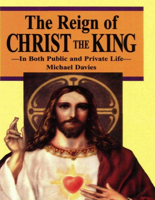# **The Reign of<br>CHRIST THE KING** -In Both Public and Private Life-**Michael Davies**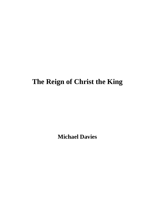# **The Reign of Christ the King**

**Michael Davies**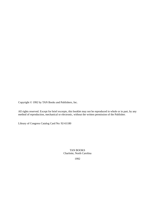Copyright © 1992 by TAN Books and Publishers, Inc.

All rights reserved. Except for brief excerpts, this booklet may not be reproduced in whole or in part, by any method of reproduction, mechanical or electronic, without the written permission of the Publisher.

Library of Congress Catalog Card No: 92-61180

TAN BOOKS Charlotte, North Carolina

1992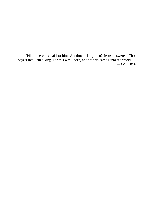"Pilate therefore said to him: Art thou a king then? Jesus answered: Thou sayest that I am a king. For this was I born, and for this came I into the world." *—John* 18:37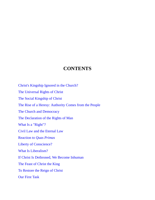## **CONTENTS**

Christ's [Kingship](#page-6-0) Ignored in the Church? The [Universal](#page-7-0) Rights of Christ The Social [Kingship](#page-8-0) of Christ The Rise of a Heresy: [Authority](#page-10-0) Comes from the People The Church and [Democracy](#page-12-0) The [Declaration](#page-13-0) of the Rights of Man What Is a ["Right"?](#page-15-0) Civil Law and the [Eternal](#page-16-0) Law [Reaction](#page-18-0) to *Quas Primas* Liberty of [Conscience?](#page-19-0) What Is [Liberalism?](#page-19-1) If Christ Is [Dethroned,](#page-20-0) We Become Inhuman The Feast of [Christ](#page-21-0) the King To [Restore](#page-21-1) the Reign of Christ Our First [Task](#page-25-0)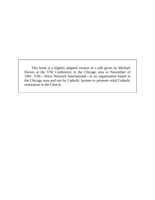This book is a slightly adapted version of a talk given by Michael Davies at the VNI Conference in the Chicago area in November of 1991. VNI—Voice Network International—is an organization based in the Chicago area and run by Catholic laymen to promote solid Catholic restoration in the Church.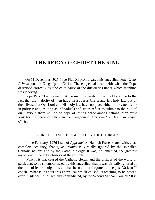### **THE REIGN OF CHRIST THE KING**

On 11 December 1925 Pope Pius XI promulgated his encyclical letter *Quas Primas*, on the Kingship of Christ. The encyclical dealt with what the Pope described correctly as "the chief cause of the difficulties under which mankind was laboring."

Pope Pius XI explained that the manifold evils in the world are due to the fact that the majority of men have thrust Jesus Christ and His holy law out of their lives; that Our Lord and His holy law have no place either in private life or in politics; and, as long as individuals and states refuse to submit to the rule of our Saviour, there will be no hope of lasting peace among nations. Men must look for the peace of Christ in the Kingdom of Christ—*Pax Christi in Regno Christi*.

#### CHRIST'S KINGSHIP IGNORED IN THE CHURCH?

<span id="page-6-0"></span>In the February, 1976 issue of *Approaches*, Hamish Fraser stated with, alas, complete accuracy, that *Quas Primas* is virtually ignored by the so-called Catholic nations and by the Catholic clergy. It was, he lamented, the greatest non-event in the entire history of the Church.

What is it that caused the Catholic clergy, and the bishops of the world in particular, to be so embarrassed by this encyclical that it was virtually ignored at the time of its promulgation, and has been all but forgotten in the post-Vatican-II epoch? What is it about this encyclical which caused its teaching to be passed over in silence, if not actually contradicted, by the Second Vatican Council? It is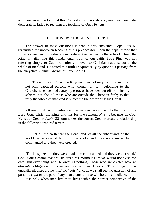an incontrovertible fact that this Council conspicuously and, one must conclude, deliberately, failed to reaffirm the teaching of *Quas Primas*.

#### THE UNIVERSAL RIGHTS OF CHRIST

<span id="page-7-0"></span>The answer to these questions is that in this encyclical Pope Pius XI reaffirmed the unbroken teaching of his predecessors upon the papal throne that *states* as well as individuals must submit themselves to the rule of Christ the King. In affirming this fundamental truth of our faith, Pope Pius was not referring simply to Catholic nations, or even to Christian nations, but to the whole of mankind. He stated this truth unequivocally by quoting a passage from the encyclical *Annum Sacrum* of Pope Leo XIII:

The empire of Christ the King includes not only Catholic nations, not only baptized persons who, though of right belonging to the Church, have been led astray by error, or have been cut off from her by schism, but also all those who are outside the Christian faith; so that truly the whole of mankind is subject to the power of Jesus Christ.

All men, both as individuals and as nations, are subject to the rule of Our Lord Jesus Christ the King, and this for two reasons. *Firstly*, because, as God, He is our Creator. *Psalm* 32 summarizes the correct Creator-creature relationship in the following inspired terms:

Let all the earth fear the Lord: and let all the inhabitants of the world be in awe of him. For he spoke and they were made: he commanded and they were created.

"For he spoke and they were made: he commanded and they were created." God is our Creator. We are His creatures. Without Him we would not exist. We owe Him everything, and He owes us nothing. Those who are created have an *absolute* obligation to love and serve their Creator. This obligation is unqualified; there are no "ifs," no "buts," and, as we shall see, no question of any possible *right* on the part of any man at any time to withhold his obedience.

It is only when men live their lives within the correct perspective of the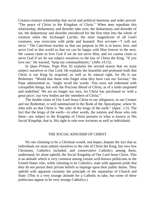Creator-creature relationship that social and political harmony and order prevail. "The peace of Christ in the Kingdom of Christ." When men repudiate this relationship, disharmony and disorder take over, the disharmony and disorder of sin, the disharmony and disorder introduced for the first time into the whole of creation when the Archangel Lucifer, the most magnificent of all God's creatures, was overcome with pride and boasted: *Non serviam—*"I will not serve." The Catechism teaches us that our purpose in life is to know, love, and serve God in this world so that we can be happy with Him forever in the next. We cannot claim to love God if we do not serve Him, and we cannot claim to serve God if we do not subject ourselves to the law of Christ the King. "If you love me," He warned, "keep my commandments." (*John* 14:15).

In *Quas Primas*, Pope Pius XI explains the second reason that we must subject ourselves to Our Lord. He explains the beautiful and profound truth that Christ is our King by acquired, as well as by natural right, for He is our Redeemer. "Would that those who forget what they have cost our Saviour," the Pope admonished us, "might recall the words: 'You were not redeemed with corruptible things, but with the Precious Blood of Christ, as of a lamb unspotted and undefiled.' We are no longer our own, for Christ has purchased us 'with a great price'; our very bodies are the 'members of Christ.'"

The double claim of Our Lord Jesus Christ to our allegiance, as our Creator and our Redeemer, is well summarized in the Book of the Apocalypse, where St. John tells us that Christ is "the ruler of the kings of the earth." (*Apoc*. 1:5). The fact that the kings of the earth—in other words, the nations and those who rule them—are subject to the Kingship of Christ pertains to what is known as His *Social Kingship*, that is, His right to rule over societies as well as individuals.

#### THE SOCIAL KINGSHIP OF CHRIST

<span id="page-8-0"></span>No one claiming to be a Christian would, one hopes, dispute the fact that as individuals we must submit ourselves to the rule of Christ the King, but very few Christians, Catholics included, and conservative Catholics among them, understand, let alone uphold, the Social Kingship of Our Lord Jesus Christ. This is an attitude which is very common among certain well-known politicians in the United States who, while claiming to be Catholics, state with apparent pride that they do not permit their private beliefs to impinge upon their public duties. They uphold with apparent certainty the principle of the separation of Church and State. (This is a very strange attitude for a Catholic to take, but some of these politicians appear to be very strange Catholics.)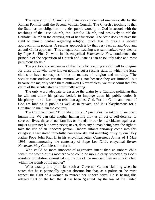The separation of Church and State was condemned unequivocally by the Roman Pontiffs until the Second Vatican Council. The Church's teaching is that the State has an obligation to render public worship to God in accord with the teachings of the True Church, the Catholic Church, and positively to *aid* the Catholic Church in the carrying out of her functions. The State does not have the right to remain neutral regarding religion, much less to pursue a secular approach in its policies. A secular approach is by that very fact an anti-God and an anti-Christ approach. This unequivocal teaching was summarized very clearly by Pope St. Pius X, who, in his encyclical *Vehementer Nos*, condemned the principle of the separation of Church and State as "an absolutely false and most pernicious thesis."

The practical consequences of this Catholic teaching are difficult to imagine for those of us who have known nothing but a secular state, in which the State claims to have no responsibilities in matters of religion and morality. (The secular state outlaws certain immoral acts, not because they are immoral, but because the majority wish them outlawed.) Nevertheless, we must admit that this claim of the secular state is profoundly wrong.

The only word adequate to describe the claim by a Catholic politician that he will not allow his private beliefs to impinge upon his public duties is blasphemy—or at least open rebellion against God. For the Commandments of God are binding in public as well as in private, and it is blasphemous for a Christian to maintain the contrary.

The Commandment "Thou shalt not kill" precludes the taking of innocent human life. We can take another human life only as an act of self-defense, to save our lives, those of our families or friends or our fellow citizens against an unjust aggressor; but never, never, never, does any human being have the right to take the life of an innocent person. Unborn infants certainly come into this category, a fact stated forcefully, courageously, and unambiguously by our Holy Father Pope John Paul II in his encyclical letter *Centesimus Annus* of 1 May 1991, commemorating the centenary of Pope Leo XIII's encyclical *Rerum Novarum*. May God bless him for it.

Who could be more innocent of aggressive intent than an unborn child within the womb of his mother? Who could be more clearly protected by God's absolute prohibition against taking the life of the innocent than an unborn child within the womb of his mother?

What exactly is a politician such as Governor Cuomo claiming when he states that he is personally against abortion but that, as a politician, he must respect the right of a woman to murder her unborn baby? He is basing this alleged right on the fact that it has been "granted" by the law of the United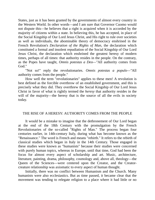States, just as it has been granted by the governments of almost every country in the Western World. In other words—and I am sure that Governor Cuomo would not dispute this—he believes that a right is acquired when it is accorded by the majority of citizens within a state. In believing this, he has accepted, in place of the Social Kingship of Our Lord Jesus Christ, and His right to rule over societies as well as individuals, the abominable theory of democracy enshrined in the French Revolution's *Declaration of the Rights of Man*, the declaration which constituted a formal and insolent repudiation of the Social Kingship of Our Lord Jesus Christ, the declaration which enshrined the greatest heresy of modern times, perhaps of all times: that authority resides in the people. On the contrary, as the Popes have taught, *Omnis potestas a Deo—"*All authority comes from God."

"Not so!" reply the revolutionaries. *Omnis potestas a populo—"*All authority comes from the people."

How well the term "revolutionaries" applies to these men! A revolution is best defined as the forcible overthrow of an established government, and this is precisely what they did. They overthrew the Social Kingship of Our Lord Jesus Christ in favor of what is rightly termed the *heresy* that authority resides in the will of the majority—the heresy that is the source of all the evils in society today.

#### <span id="page-10-0"></span>THE RISE OF A HERESY: AUTHORITY COMES FROM THE PEOPLE

It would be a mistake to imagine that the dethronement of Our Lord began at the end of the 18th Century with the promulgation by the French Revolutionaries of the so-called "Rights of Man." The process began four centuries earlier, in 14th-century Italy, during what has become known as the "Renaissance." The word is French and means "rebirth." It refers to the rebirth of classical studies which began in Italy in the 14th Century. Those engaged in these studies were known as "humanists" because their studies were concerned with purely human topics, whereas in Europe, until that time, God had been the focus for almost every aspect of scholarship and art. Music, architecture, literature, painting, drama, philosophy, cosmology and, above all, theology—the Queen of the Sciences—were centered upon the Creator, and the Creatorcreature relationship was axiomatic to every aspect of human thought.

Initially, there was no conflict between Humanism and the Church. Many humanists were also ecclesiastics. But as time passed, it became clear that the movement was tending to relegate religion to a place where it had little or no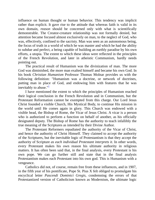influence on human thought or human behavior. This tendency was implicit rather than explicit. It gave rise to the attitude that whereas faith is valid in its own domain, *reason* should be concerned only with what is scientifically demonstrable. The Creator-creature relationship was not formally denied, but attention became focused almost exclusively on man, to the neglect of God, who was, effectively, confined to the sacristy. Man was seen as an autonomous being, the focus of truth in a world of which he was master and which he had the ability to subdue and perfect, a being capable of building an earthly paradise by his own efforts, a utopia. The extent to which these ideas were reflected in the principles of the French Revolution, and later in atheistic Communism, hardly needs pointing out.

The practical result of Humanism was the divinization of man. The more God was diminished, the more man exalted himself and became his own God. In his book *Christian Humanism* Professor Thomas Molnar provides us with the following definition: "Humanism was a doctrine, or network of doctrines, putting man in place of God, and endowing him with features that he was inevitably to abuse." [1](#page-27-0)

<span id="page-11-0"></span>I have mentioned the extent to which the principles of Humanism reached their logical conclusion in the French Revolution and in Communism, but the Protestant Reformation cannot be exempted from this charge. Our Lord Jesus Christ founded a visible Church, His Mystical Body, to continue His mission in the world until He comes again in glory. This Church was endowed with a visible head, the Bishop of Rome, the Vicar of Jesus Christ. A vicar is a person who is authorized to perform a function on behalf of another, as his officially designated deputy. The Bishop of Rome has the authority to teach infallibly the true meaning of the Scriptures as intended by their Divine Author.

The Protestant Reformers repudiated the authority of the Vicar of Christ, and hence the authority of Christ Himself. They claimed to accept the authority of the Scriptures, but the inevitable logic of Protestantism is that they accept the authority of Scripture *as each individual Protestant interprets it*. In other words, every Protestant makes his own reason his ultimate authority in religious matters. It has often been said that, in the final analysis, every Protestant is his own pope. We can go further still and state that in the final analysis Protestantism makes each Protestant into his own god. This is Humanism with a vengeance.

Catholics did not, of course, remain free from these influences, and in 1907, in the fifth year of his pontificate, Pope St. Pius X felt obliged to promulgate his encyclical letter *Pascendi Dominici Gregis*, condemning the errors of that Protestantized version of Catholicism known as Modernism, the ultimate logic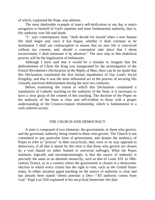of which, explained the Pope, was atheism.

The most deplorable example of man's self-deification in our day is man's arrogation to himself of God's supreme and most fundamental authority, that is, His authority over life and death.

"I," says contemporary man, "shall decide for myself when a new human life shall begin and, once it has begun, whether it shall continue or be terminated. I shall use contraception to ensure that no new life is conceived without my consent, and, should a conception take place that I deem inconvenient, I shall terminate it by abortion." The next step in this diabolical process will be the legalization of euthanasia.

Although I have said that it would be a mistake to imagine that the dethronement of Christ the King was inaugurated by the promulgation of the French Revolution's *Declaration of the Rights of Man*, there can be no doubt that this Declaration constituted the first formal repudiation of Our Lord's Social Kingship, and that it was the most influential act in the process of securing His virtually universal dethronement during the next two centuries.

Before examining the extent to which this Declaration constituted a repudiation of Catholic teaching on the authority of the State, it is necessary to have a clear grasp of the content of this teaching. The doctrine of the Popes on the authority of the State is clear and self-evident to those with a proper understanding of the Creator-creature relationship, which is fundamental to a well-ordered society.

#### THE CHURCH AND DEMOCRACY

<span id="page-12-0"></span>A state is composed of two elements: the government, or those who govern, and the governed, authority being vested in those who govern. The Church is not committed to any particular form of government, and despite the tendency of Popes to refer to "princes" in their encyclicals, they were in no way opposed to democracy, if all that is meant by this term is that those who govern are chosen by a vote (based on either limited or universal suffrage). What the Popes maintain, logically and uncompromisingly, is that the source of authority is precisely the same in an absolute monarchy, such as that of Louis XIV in 18thcentury France, as in a country where the government is chosen in a democratic election in which every citizen has the right to vote, such as the United States today. In either situation papal teaching on the source of authority is clear and has already been stated: *Omnis potestas a Deo*—"All authority comes from God." Pope Leo XIII explained in his encyclical *Immortale Dei* that: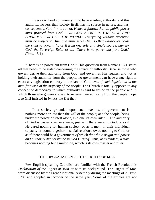Every civilized community must have a ruling authority, and this authority, no less than society itself, has its source in nature, and has, consequently, God for its author. *Hence it follows that all public power must proceed from God. FOR GOD ALONE IS THE TRUE AND SUPREME LORD OF THE WORLD. Everything without exception must be subject to Him, and must serve Him, so that whosoever holds the right to govern, holds it from one sole and single source, namely, God, the Sovereign Ruler of all. "There is no power but from God." (Rom*. 13:1).

"There is no power but from God." This quotation from Romans 13:1 states all that needs to be stated concerning the source of authority. Because those who govern derive their authority from God, and govern as His legates, and not as holding their authority from the people, no government can have a true right to enact any legislation contrary to the law of God, *even if such legislation is the manifest wish of the majority of the people*. The Church is totally opposed to any concept of democracy in which authority is said to reside in the people and in which those who govern are said to receive their authority from the people. Pope Leo XIII insisted in *Immortale Dei* that:

In a society grounded upon such maxims, all government is nothing more nor less than the will of the people; and the people, being under the power of itself alone, is alone its own ruler …The authority of God is passed over in silence, just as if there were no God; or as if He cared nothing for human society; or as if men, in their individual capacity or bound together in social relations, owed nothing to God; or as if there could be a government *of which the whole origin and power and authority did not reside in God Himself*. Thus, as is evident, a state becomes nothing but a multitude, which is its own master and ruler.

#### THE DECLARATION OF THE RIGHTS OF MAN

<span id="page-13-0"></span>Few English-speaking Catholics are familiar with the French Revolution's *Declaration of the Rights of Man* or with its background. The Rights of Man were discussed by the French National Assembly during the meetings of August, 1789 and adopted in October of the same year. Some of the articles are not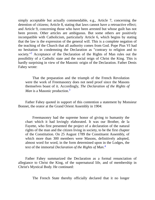simply acceptable but actually commendable, e.g., Article 7, concerning the detention of citizens; Article 8, stating that laws cannot have a retroactive effect; and Article 9, concerning those who have been arrested but whose guilt has not been proven. Other articles are ambiguous. But some others are positively incompatible with Catholicism, particularly Article 6, which begins by stating that the law is the expression of the general will. This is a complete negation of the teaching of the Church that all authority comes from God. Pope Pius VI had no hesitation in condemning the Declaration as "contrary to religion and to society."<sup>[2](#page-27-1)</sup> Acceptance of the Declaration of the Rights of Man rules out the possibility of a Catholic state and the social reign of Christ the King. This is hardly surprising in view of the Masonic origin of the Declaration. Father Denis Fahey wrote:

<span id="page-14-1"></span><span id="page-14-0"></span>That the preparation and the triumph of the French Revolution were the work of Freemasonry does not need proof since the Masons themselves boast of it. Accordingly, *The Declaration of the Rights of Man* is a Masonic production. [3](#page-27-2)

Father Fahey quoted in support of this contention a statement by Monsieur Bonnet, the orator at the Grand Orient Assembly in 1904:

Freemasonry had the supreme honor of giving to humanity the chart which it had lovingly elaborated. It was our Brother, de la Fayette, who first presented the project of a declaration of the natural rights of the man and the citizen living in society, to be the first chapter of the Constitution. On 25 August 1789 the Constituent Assembly, of which more than 300 members were Masons, definitively adopted, almost word for word, in the form determined upon in the Lodges, the text of the immortal *Declaration of the Rights of Man*. [4](#page-27-3)

Father Fahey summarized the Declaration as a formal renunciation of allegiance to Christ the King, of the supernatural life, and of membership in Christ's Mystical Body. He continued:

<span id="page-14-2"></span>The French State thereby officially declared that it no longer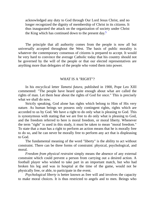acknowledged any duty to God through Our Lord Jesus Christ, and no longer recognized the dignity of membership of Christ in its citizens. It thus inaugurated the attack on the organization of society under Christ the King which has continued down to the present day.<sup>[5](#page-27-4)</sup>

The principle that all authority comes from the people is now all but universally accepted throughout the West. The basis of public morality is whatever the contemporary consensus of citizens is prepared to accept. It would be very hard to convince the average Catholic today that his country should not be governed by the will of the people or that our elected representatives are anything more than delegates of the people who voted them into power.

#### <span id="page-15-1"></span>WHAT IS A "RIGHT"?

<span id="page-15-0"></span>In his encyclical letter *Tametsi futura*, published in 1900, Pope Leo XIII commented: "The people have heard quite enough about what are called the rights of man. Let them hear about the rights of God for once." This is precisely what we shall do now.

Strictly speaking, God alone has rights which belong to Him of His very nature. As human beings we possess only contingent rights, rights which are accorded to us by God. We have a right to do only what is pleasing to God. This is synonymous with stating that we are free to do only what is pleasing to God, and the freedom referred to here is moral freedom, or moral liberty. Whenever the term "right" is used in this study, it must be taken to mean "moral freedom." To state that a man has a right to perform an action means that he is morally free to do so, and he can never be morally free to perform any act that is displeasing to God.

The fundamental meaning of the word "liberty" is the ability to act without constraint. There can be three forms of constraint: physical, psychological, and moral.

*Freedom from physical restraint* simply means the absence of any external constraint which could prevent a person from carrying out a desired action. A football player who wished to take part in an important match, but who had broken his leg and was in hospital at the time of the game, would not be physically free, or able, to participate in the event.

*Psychological liberty* is better known as free will and involves the capacity to make moral choices. It is thus restricted to angels and to men. Beings who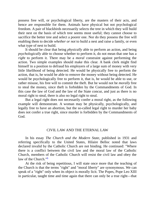possess free will, or psychological liberty, are the masters of their acts, and hence are responsible for them. Animals have physical but not psychological freedom. A pair of blackbirds necessarily selects the tree in which they will build their nest on the basis of which tree seems most useful; they cannot choose to sacrifice the better tree and select a poorer one. Nor do they possess the free will enabling them to decide *whether or not* to build a nest and raise a family, or even what type of nest to build.

It should be clear that being *physically* able to perform an action, and being *psychologically* able to choose whether to perform it, do not mean that one has a *right* to perform it. There may be a *moral* constraint against performing the action. Two simple examples should make this clear. A bank clerk might find himself in a position to defraud his employers of a large sum of money with very little likelihood of being detected. He would be physically free to perform the action, that is, he would be able to remove the money without being detected. He would be psychologically free to perform it, that is, he would be able to use, or rather misuse, his free will to commit the theft. But he would not be *morally* free to steal the money, since theft is forbidden by the Commandments of God. In this case the law of God and the law of the State concur, and just as there is no moral right to steal, there is also no legal right to steal.

But a legal right does not necessarily confer a moral right, as the following example will demonstrate. A woman may be physically, psychologically, and legally free to have an abortion, but the so-called legal right to murder her baby does not confer a true right, since murder is forbidden by the Commandments of God.

#### <span id="page-16-1"></span>CIVIL LAW AND THE ETERNAL LAW

<span id="page-16-0"></span>In his essay *The Church and the Modern State*, published in 1931 and referring specifically to the United States, Hilaire Belloc noted that laws declared invalid by the Catholic Church are not binding. He continued: "Where there is a conflict between the civil law and the moral law of the Catholic Church, members of the Catholic Church will resist the civil law and obey the law of the Church."<sup>[6](#page-27-5)</sup>

At the risk of being repetitious, I will state once more that the teaching of the Church is that the terms "right" and "moral liberty" are synonymous. We can speak of a "right" only when its object is morally licit. The Popes, Pope Leo XIII in particular, taught time and time again that there can only be a true right—that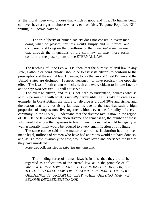is, the moral liberty—to choose that which is good and true. No human being can ever have a right to choose what is evil or false. To quote Pope Leo XIII, writing in *Libertas humana:*

The true liberty of human society does not consist in every man doing what he pleases, for this would simply end in turmoil and confusion, and bring on the overthrow of the State: *but rather in this*, that through the injunctions of the civil law all may more easily conform to the prescriptions of the ETERNAL LAW.

The teaching of Pope Leo XIII is, then, that the purpose of civil law in any state, Catholic or non-Catholic, should be to assist its citizens to conform to the prescriptions of the eternal law. However, today the laws of Great Britain and the United States are designed—I repeat, *designed—*to have precisely the opposite effect. The laws of both countries incite each and every citizen to imitate Lucifer and to say: *Non serviam—*"I will not serve."

The average citizen, and this is not hard to understand, equates what is *legally* permissible with what is *morally* permissible. Let us take divorce as an example. In Great Britain the figure for divorce is around 30% and rising, and the reason that it is not rising far faster is due to the fact that such a high proportion of couples now live together without even the formality of a civil ceremony. In the U.S.A., I understand that the divorce rate is now in the region of 50%. If the law did not sanction divorce and remarriage, the number of those who would abandon their spouses to live in new unions that would be legally as well as morally illicit would be reduced to a very small fraction of this figure.

The same can be said in the matter of abortions. If abortion had not been made legal, millions of women who have had abortions would not have done so, and, as is almost invariably the case, would have loved and cherished the babies they have murdered.

Pope Leo XIII insisted in *Libertas humana* that:

The binding force of human laws is in this, that they are to be regarded as applications of the eternal law, as in the principle of all law… *WHERE A LAW IS ENACTED CONTRARY TO REASON, OR TO THE ETERNAL LAW, OR TO SOME ORDINANCE OF GOD, OBEDIENCE IS UNLAWFUL, LEST WHILE OBEYING MAN WE BECOME DISOBEDIENT TO GOD*.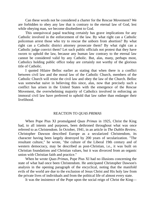Can these words not be considered a charter for the Rescue Movement? We are forbidden to obey any law that is contrary to the eternal law of God, lest while obeying man, we become disobedient to God.

This unequivocal papal teaching certainly has grave implications for any Catholic involved in the enforcement of the law. By what right can a Catholic policeman arrest those who try to rescue the unborn from abortion? By what right can a Catholic district attorney prosecute them? By what right can a Catholic judge convict them? Let such public officials not protest that they have sworn to uphold the law, because any human law contrary to the eternal law cannot be considered valid by any Catholic. But, alas, many, perhaps most, Catholics holding public office today are certainly not worthy of the glorious title of Catholic.

I quoted Hilaire Belloc earlier as stating that when there is a conflict between civil law and the moral law of the Catholic Church, members of the Catholic Church will resist the civil law and obey the law of the Church. Belloc was somewhat naive in believing this since, alas, now that precisely such a conflict has arisen in the United States with the emergence of the Rescue Movement, the overwhelming majority of Catholics involved in enforcing an immoral civil law have preferred to uphold that law rather than endanger their livelihood.

#### REACTION TO *QUAS PRIMAS*

<span id="page-18-0"></span>When Pope Pius XI promulgated *Quas Primas* in 1925, Christ the King had, to all intents and purposes, been dethroned throughout what was once referred to as Christendom. In October, 1941, in an article in *The Dublin Review*, Christopher Dawson described Europe as a secularized Christendom, its character having been largely destroyed by 200 years of secularization. "The resultant culture," he wrote, "the culture of the Liberal 19th century and of western democracy, may be described as post-Christian, i.e., it was built on Christian foundations and Christian values, but it was divorced from an organic union with Christian faith and practice."

When he wrote *Quas Primas*, Pope Pius XI had no illusions concerning the state of what had once been Christendom. He anticipated Christopher Dawson's analysis in the opening paragraph of the encyclical, noting that the manifold evils of the world are due to the exclusion of Jesus Christ and His holy law from the private lives of individuals and from the political life of almost every state.

It was the insistence of the Pope upon the social reign of Christ the King—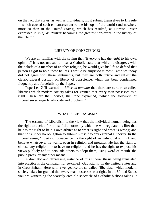on the fact that states, as well as individuals, must submit themselves to His rule —which caused such embarrassment to the bishops of the world (and nowhere more so than in the United States), which has resulted, as Hamish Fraser expressed it, in *Quas Primas'* becoming the greatest non-event in the history of the Church.

#### LIBERTY OF CONSCIENCE?

<span id="page-19-0"></span>We are all familiar with the saying that "Everyone has the *right* to his own opinion." It is not unusual to hear a Catholic state that while he disagrees with the beliefs of a member of another religion, he would give his life to defend that person's *right* to hold these beliefs. I would be surprised if most Catholics today did not agree with these sentiments, but they are both untrue and reflect the classic Liberal position on liberty of conscience, which has been condemned frequently and forcefully by the Popes.

Pope Leo XIII warned in *Libertas humana* that there are certain so-called liberties which modern society takes for granted that every man possesses as a right. These are the liberties, the Pope explained, "which the followers of Liberalism so eagerly advocate and proclaim."

#### WHAT IS LIBERALISM?

<span id="page-19-1"></span>The essence of Liberalism is the view that the individual human being has the right to decide for himself the norms by which he will regulate his life; that he has the right to be his own arbiter as to what is right and what is wrong; and that he is under no obligation to submit himself to any external authority. In the Liberal sense, "liberty of conscience" is the right of an individual to think and believe whatsoever he wants, even in religion and morality. He has the right to choose any religion, or to have no religion; and he has the right to express his views publicly and to persuade others to adopt them, using word of mouth, the public press, or any other means.

A dramatic and depressing instance of this Liberal thesis being translated into practice is the campaign for so-called "Gay Rights" in the United States and in Great Britain. Here with a vengeance are so-called "liberties," which modern society takes for granted that every man possesses as a right. In the United States you are witnessing the scarcely credible spectacle of Catholic bishops taking it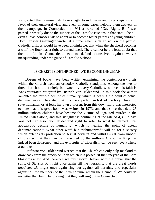for granted that homosexuals have a right to indulge in and to propagandize in favor of their unnatural vice, and even, in some cases, helping them actively in their campaign. In Connecticut in 1991 a so-called "Gay Rights Bill" was passed, primarily due to the support of the Catholic Bishops in that state. The bill even allows homosexuals to adopt or to become foster parents of young children. Dom Prosper Guéranger wrote, at a time when such an act on the part of Catholic bishops would have been unthinkable, that when the shepherd becomes a wolf, the flock has a right to defend itself. There cannot be the least doubt that the faithful in Connecticut need to defend themselves against wolves masquerading under the guise of Catholic bishops.

#### IF CHRIST IS DETHRONED, WE BECOME INHUMAN

<span id="page-20-0"></span>Dozens of books have been written examining the contemporary crisis within the Church from an orthodox Catholic standpoint. Among the two or three that should definitely be owned by every Catholic who loves his faith is *The Devastated Vineyard* by Dietrich von Hildebrand. In this book the author lamented the terrible decline of humanity, which is nearing the point of actual dehumanization. He stated that it is the superhuman task of the holy Church to save humanity, or at least her own children, from this downfall. I was interested to note that this great book was written in 1973, and that since that date 25 million unborn children have become the victims of legalized murder in the United States alone, and this slaughter is continuing at the rate of 4,300 a day. Was not Professor von Hildebrand right to refer to what he termed "this apocalyptic decline of humanity," which is nearing the point of actual dehumanization?<sup>[7](#page-27-6)</sup> What other word but "dehumanized" will do for a society which extends its protection to sexual perverts and withdraws it from unborn children so that they can be massacred by the million? Christ the King has indeed been dethroned, and the evil fruits of Liberalism can be seen everywhere around us.

<span id="page-20-2"></span><span id="page-20-1"></span>Professor von Hildebrand warned that the Church can only help mankind to draw back from the precipice upon which it is poised "if the vineyard of the Lord blossoms anew. And therefore we must storm Heaven with the prayer that the spirit of St. Pius X might once again fill the hierarchy, that the great words *anathema sit* might once again ring out against all heretics, and especially against all the members of the 'fifth column' within the Church."<sup>[8](#page-27-7)</sup> We could do no better than begin by praying that they will ring out in Connecticut.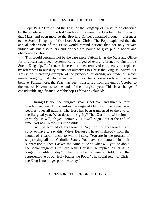#### THE FEAST OF CHRIST THE KING

<span id="page-21-0"></span>Pope Pius XI instituted the Feast of the Kingship of Christ to be observed by the whole world on the last Sunday of the month of October. The Proper of that Mass, and even more so the Breviary Office, contained frequent references to the Social Kingship of Our Lord Jesus Christ. The Pope explained that the annual celebration of the Feast would remind nations that not only private individuals but also rulers and princes are bound to give public honor and obedience to Christ.

This would certainly not be the case since Vatican II, as the Mass and Office for this feast have been systematically purged of every reference to Our Lord's Social Kingship. References have either been removed completely or replaced by references to our duty to subject ourselves to Christ the King *as individuals*. This is an interesting example of the principle *lex orandi, lex credendi*, which means, roughly, that what is in the liturgical texts corresponds with what we believe. Furthermore, the Feast has been transferred from the end of October to the end of November, to the end of the liturgical year. This is a change of considerable significance. Archbishop Lefebvre explained:

During October the liturgical year is not over and three or four Sundays remain. This signifies the reign of Our Lord over time, over peoples, over all nations. The feast has been transferred to the end of the liturgical year. What does this signify? That Our Lord will reign certainly He will, oh yes! certainly…He will reign—but at the end of time. Not now. Now, it is impossible.

I will be accused of exaggerating. No; I do not exaggerate. I am sorry to have to say this. Why? Because I heard it directly from the mouth of a papal nuncio to whom I said: "You are in the process of suppressing all the Catholic States. You have collaborated in their suppression." Then I asked the Nuncio: "And what will you do about the social reign of Our Lord Jesus Christ?" He replied: "That is no longer possible today." That is what a nuncio told me, the representative of our Holy Father the Pope. "The social reign of Christ the King is no longer possible today."

#### <span id="page-21-1"></span>TO RESTORE THE REIGN OF CHRIST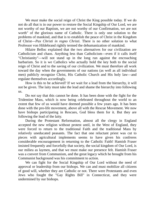We *must* make the social reign of Christ the King possible today. If we do not do all that is in our power to restore the Social Kingship of Our Lord, we are not worthy of our Baptism, we are not worthy of our Confirmation, we are not worth" of the glorious name of Catholic. There is only one solution to the problems of mankind, and that is to establish the peace of Christ in the Kingdom of Christ—*Pax Christi in regno Christi*. There is no other solution to what Professor von Hildebrand rightly termed the dehumanization of mankind.

Hilaire Belloc explained that the two alternatives for our civilization are Catholicism and chaos. Anything less than Catholicism—even if it calls itself "Christianity"—will not stand up in the long run against the encroaching barbarism. So it is we Catholics who actually hold the key both to the social reign of Christ and to the saving of our civilization. We must therefore all work toward the day when the governments of our nations (as well as all individual men) publicly recognize Christ, His Catholic Church and His holy law—and regulate themselves accordingly.

How is this to be achieved? If we wait for a lead from the hierarchy, it will not be given. The laity must take the lead and shame the hierarchy into following us.

Do *not* say that this cannot be done. It has been done with the fight for the Tridentine Mass, which is now being celebrated throughout the world to an extent that few of us would have deemed possible a few years ago. It has been done with the pro-life movement, above all with the Rescue Movement. We now have bishops participating in Rescues, God bless them for it. But they are following the lead of the laity.

During the Protestant Reformation, almost all the clergy in England accepted the new religion without protest until, in the West of England, they were forced to return to the traditional Faith and the traditional Mass by relatively uneducated peasants. The fact that one reluctant priest was cut to pieces with agricultural implements seems to have given his confreres considerable encouragement in returning to the Catholic Faith! Hamish Fraser insisted frequently and forcefully that society, the social kingdom of Our Lord, is our milieu as laymen, and that we must make our presence felt. Hamish Fraser was a convert from Communism, and the great legacy which he brought from his Communist background was his commitment to action.

We can fight for the Social Kingship of Our Lord without the need of approval or leadership from our bishops. We can and must mobilize all citizens of good will, whether they are Catholic or not. There were Protestants and even Jews who fought the "Gay Rights Bill" in Connecticut, and they were undermined by our bishops.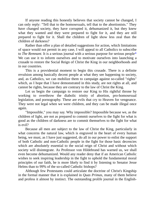If anyone reading this honestly believes that society cannot be changed, I can only reply: "Tell that to the homosexuals, tell that to the abortionists." They *have* changed society, they have corrupted it, dehumanized it, but they knew what they wanted and they were prepared to fight for it, and they are still prepared to fight for it. Shall the children of light show less zeal than the children of darkness?

<span id="page-23-0"></span>Rather than offer a plan of detailed suggestions for action, which limitations of space would not permit in any case, I will appeal to all Catholics to subscribe to *The Remnant*. It is a serious journal with a serious purpose for serious people[\\*](#page-28-0) We can use it to inform ourselves and to motivate ourselves into launching a crusade to restore the Social Reign of Christ the King in our neighborhoods and in our countries.

This is a providential moment to begin this crusade. There is a definite revulsion among basically decent people at what they see happening to society, and, as Catholics, we can mobilize them to campaign against so-called "rights" which, as I hope that I have demonstrated in this study, are not rights at all, and cannot be rights, because they are contrary to the law of Christ the King.

Let us begin the campaign to restore our King to His rightful throne by working to overthrow the diabolic trinity of abortion, pro-homosexual legislation, and pornography. These are evils that cry to Heaven for vengeance. They were not legal when we were children, and they can be made illegal once again.

"Impossible," you may say. Why impossible? Impossible because we, as the children of light, are not as prepared to commit ourselves to the fight for what is good as the children of darkness are to commit themselves to the fight for what is evil?

Because all men are subject to the law of Christ the King, particularly in what concerns the natural law, which is engraved in the heart of every human being, we must, as I have just suggested, do all in our power to enlist the support of both Catholic and non-Catholic people in the fight for those basic decencies which are absolutely essential to the social reign of Christ and without which society will disintegrate. As Professor von Hildebrand has warned us, we shall even become dehumanized. Would any reader deny that if an American Catholic wishes to seek inspiring leadership in the fight to uphold the fundamental moral principles of our faith, he is more likely to find it by listening to Senator Jesse Helms than to 99% of the so-called Catholic bishops?

Although few Protestants could articulate the doctrine of Christ's Kingship in the formal manner that it is explained in *Quas Primas*, many of them believe and profess it almost by instinct. The outstanding prolife journal in the English-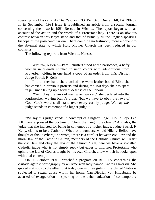speaking world is certainly *The Rescuer* (P.O. Box 320, Drexel Hill, PA 19026). In its September, 1991 issue it republished an article from a secular journal concerning the historic 1991 Rescue in Wichita. The report began with an account of the action and the words of a Protestant lady. There is an obvious contrast between this lady's stand and that of virtually all the English-speaking bishops of the post-conciliar era. There could be no testimony more eloquent to the abysmal state to which Holy Mother Church has been reduced in our countries.

The following report is from Wichita, Kansas:

WICHITA, KANSAS—Pam Schuffert stood at the barricades, a hefty woman in overalls stitched in neon colors with admonitions from Proverbs, holding in one hand a copy of an order from U.S. District Judge Patrick F. Kelly.

In the other hand she clutched the worn leather-bound Bible she has carried in previous protests and during the 150 days she has spent in jail since taking up a fervent defense of the unborn.

"We'll obey the laws of man when we can," she declared into the loudspeaker, waving Kelly's order, "but we have to obey the laws of God. God's word shall stand over every earthly judge. We say *this* judge stands in contempt of a higher judge."

"We say this judge stands in contempt of a higher judge." Could Pope Leo XIII have expressed the doctrine of Christ the King more clearly? And alas, the judge that she indicted for being in contempt of a higher judge, Judge Patrick F. Kelly, claims to be a Catholic! What, one wonders, would Hilaire Belloc have thought of this? "Where," he wrote, "there is a conflict between civil law and the moral law of the Catholic Church, members of the Catholic Church will resist the civil law and obey the law of the Church." Yet, here we have a so-called Catholic judge who is not simply ready but eager to imprison Protestants who uphold the law of God as taught by his own Church, a law which he looks upon with total contempt.

On 25 October 1991 I watched a program on BBC TV concerning the crusade against pornography by an American lady named Andrea Dworkin. She quoted statistics to the effect that today one in three girls in the United States is subjected to sexual abuse within her home. Can Dietrich von Hildebrand be accused of exaggeration in speaking of the dehumanization of contemporary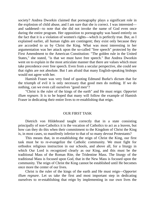society? Andrea Dworkin claimed that pornography plays a significant role in the explosion of child abuse, and I am sure that she is correct. I was interested and saddened—to note that she did not invoke the name of God even once during the entire program. Her opposition to pornography was based entirely on the fact that it is a violation of women's rights—which is perfectly true. But, as I explained earlier, all human rights are contingent; they exist only because they are accorded to us by Christ the King. What was most interesting in her argumentation was her attack upon the so-called "free speech" protected by the First Amendment to the American Constitution: "The golden rule in the United States," she stated, "is that we must have free speech." But Andrea Dworkin went on to explain in the most articulate manner that there are values which must take precedence over free speech. Even from a secular perspective, she could see that rights are not absolute. But I am afraid that many English-speaking bishops would not agree with her.

Hamish Fraser was very fond of quoting Edmund Burke's dictum that for the triumph of evil it is only necessary that good men do nothing. If we do nothing, can we even call ourselves "good men"?

"Christ is the ruler of the kings of the earth" and He must reign: *Opportet illum regnare*. It is to be hoped that many will follow the example of Hamish Fraser in dedicating their entire lives to re-establishing that reign.

#### OUR FIRST TASK

<span id="page-25-0"></span>Dietrich von Hildebrand taught correctly that in a state consisting principally of non-Catholics it is the vocation of Catholics to act as a leaven, but how can they do this when their commitment to the Kingdom of Christ the King is, in most cases, so manifestly inferior to that of so many devout Protestants?

This means that, in re-establishing the reign of Christ the King, our first task must be to re-evangelize the Catholic community. We must fight for orthodox religious instruction in our schools, and above all, for a liturgy in which Our Lord is recognized clearly as our King, and this must be the traditional Mass of the Roman Rite, the Tridentine Mass. The liturgy of the traditional Mass is focused upon God, that in the New Mass is focused upon the community. The reign of Christ the King cannot be established until He becomes once more the center of our lives.

Christ is the ruler of the kings of the earth and He must reign—*Opportet illum regnare*. Let us take the first and most important step in dedicating ourselves to re-establishing that reign by implementing in our own lives the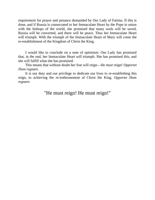requirement for prayer and penance demanded by Our Lady of Fatima. If this is done, and if Russia is consecrated to her Immaculate Heart by the Pope in union with the bishops of the world, she promised that many souls will be saved, Russia will be converted, and there will be peace. Thus her Immaculate Heart will triumph. With the triumph of the Immaculate Heart of Mary will come the re-establishment of the Kingdom of Christ the King.

I would like to conclude on a note of optimism. Our Lady has promised that, in the end, her Immaculate Heart *will* triumph. She has promised this, and she will fulfill what she has promised.

This means that without doubt her Son will reign—He *must* reign! *Opportet illum regnare*.

It is our duty and our privilege to dedicate our lives to re-establishing this reign, to achieving the re-enthronement of Christ the King. *Opportet illum regnare*.

"He must reign! He must reign!"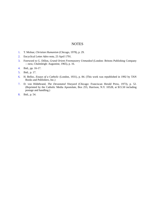#### **NOTES**

- <span id="page-27-0"></span>. T. Molnar, *Christian Humanism* (Chicago, 1978), p. 29.
- <span id="page-27-1"></span>. Encyclical Letter *Adeo nota*, 23 April 1791.
- <span id="page-27-2"></span>. Foreword to G. Dillon, *Grand Orient Freemasonry Unmasked* (London: Britons Publishing Company —now, Chulmleigh: Augustine, 1965), p. 16.
- <span id="page-27-3"></span>. Ibid., pp. 16-17.
- <span id="page-27-4"></span>. Ibid., p. 17.
- <span id="page-27-5"></span>. H. Belloc, *Essays of a Catholic* (London, 1931), p. 84. (This work was republished in 1992 by TAN Books and Publishers, Inc.)
- <span id="page-27-6"></span>. D. von Hildebrand, *The Devastated Vineyard* (Chicago: Franciscan Herald Press, 1973), p. 52. (Reprinted by the Catholic Media Apostolate, Box 255, Harrison, N.Y. 10528, at \$15.50 including postage and handling.)
- <span id="page-27-7"></span>. Ibid., p. 54.